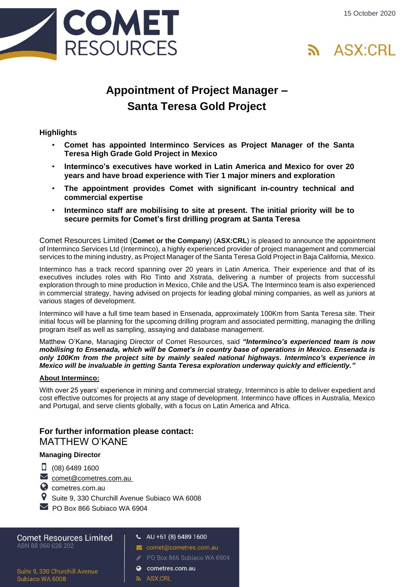



# **Appointment of Project Manager – Santa Teresa Gold Project**

#### **Highlights**

- **Comet has appointed Interminco Services as Project Manager of the Santa Teresa High Grade Gold Project in Mexico**
- **Interminco's executives have worked in Latin America and Mexico for over 20 years and have broad experience with Tier 1 major miners and exploration**
- **The appointment provides Comet with significant in-country technical and commercial expertise**
- **Interminco staff are mobilising to site at present. The initial priority will be to secure permits for Comet's first drilling program at Santa Teresa**

Comet Resources Limited (**Comet or the Company**) (**ASX:CRL**) is pleased to announce the appointment of Interminco Services Ltd (Interminco), a highly experienced provider of project management and commercial services to the mining industry, as Project Manager of the Santa Teresa Gold Project in Baja California, Mexico.

Interminco has a track record spanning over 20 years in Latin America. Their experience and that of its executives includes roles with Rio Tinto and Xstrata, delivering a number of projects from successful exploration through to mine production in Mexico, Chile and the USA. The Interminco team is also experienced in commercial strategy, having advised on projects for leading global mining companies, as well as juniors at various stages of development.

Interminco will have a full time team based in Ensenada, approximately 100Km from Santa Teresa site. Their initial focus will be planning for the upcoming drilling program and associated permitting, managing the drilling program itself as well as sampling, assaying and database management.

Matthew O'Kane, Managing Director of Comet Resources, said *"Interminco's experienced team is now mobilising to Ensenada, which will be Comet's in country base of operations in Mexico. Ensenada is only 100Km from the project site by mainly sealed national highways. Interminco's experience in Mexico will be invaluable in getting Santa Teresa exploration underway quickly and efficiently."*

#### **About Interminco:**

With over 25 years' experience in mining and commercial strategy, Interminco is able to deliver expedient and cost effective outcomes for projects at any stage of development. Interminco have offices in Australia, Mexico and Portugal, and serve clients globally, with a focus on Latin America and Africa.

### **For further information please contact:**  MATTHEW O'KANE

#### **Managing Director**

- $\Box$  (08) 6489 1600
- $\blacktriangleright$  [comet@cometres.com.au](mailto:comet@cometres.com.au )
- Cometres.com.au
- 9. Suite 9, 330 Churchill Avenue Subiaco WA 6008
- $\blacktriangleright$  PO Box 866 Subiaco WA 6904

| Comet Resources Limited | $\leftarrow$ AU +61 (8) 6489 1600 |
|-------------------------|-----------------------------------|
| ABN 88 060 628 202      | comet@cometres.com.au             |
|                         | PO Box 866 Subiaco WA 6904        |
| $0.44 - 0.0000$         | cometres.com.au                   |

ล ASX:CRL

Suite 9, 330 Churchill Avenue Subiaco WA 6008